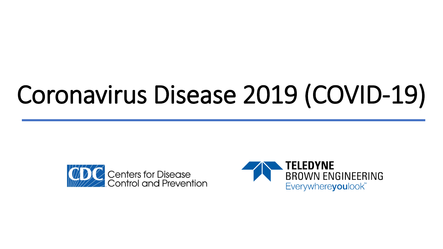# Coronavirus Disease 2019 (COVID-19)



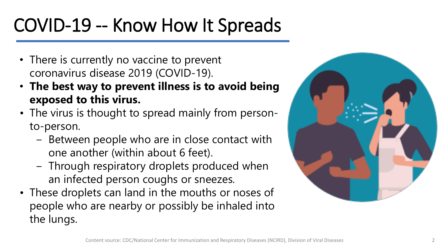# COVID-19 -- Know How It Spreads

- There is currently no vaccine to prevent coronavirus disease 2019 (COVID-19).
- **The best way to prevent illness is to avoid being exposed to this virus.**
- The virus is thought to spread mainly from personto-person.
	- Between people who are in close contact with one another (within about 6 feet).
	- ‒ Through respiratory droplets produced when an infected person coughs or sneezes.
- These droplets can land in the mouths or noses of people who are nearby or possibly be inhaled into the lungs.

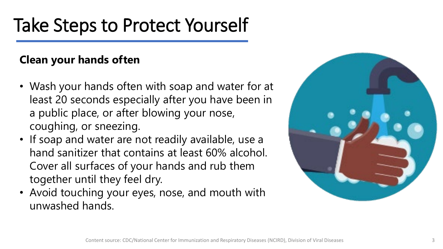### Take Steps to Protect Yourself

#### **Clean your hands often**

- Wash your hands often with soap and water for at least 20 seconds especially after you have been in a public place, or after blowing your nose, coughing, or sneezing.
- If soap and water are not readily available, use a hand sanitizer that contains at least 60% alcohol. Cover all surfaces of your hands and rub them together until they feel dry.
- Avoid touching your eyes, nose, and mouth with unwashed hands.

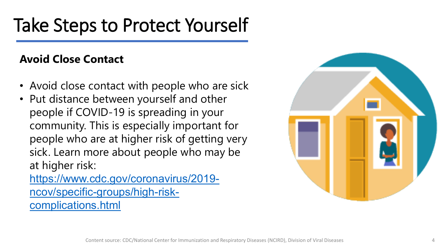### Take Steps to Protect Yourself

#### **Avoid Close Contact**

- Avoid close contact with people who are sick
- Put distance between yourself and other people if COVID-19 is spreading in your community. This is especially important for people who are at higher risk of getting very sick. Learn more about people who may be at higher risk:

[https://www.cdc.gov/coronavirus/2019](https://www.cdc.gov/coronavirus/2019-ncov/specific-groups/high-risk-complications.html) ncov/specific-groups/high-riskcomplications.html

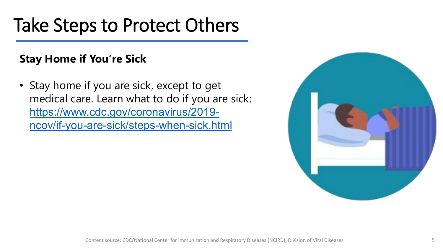### Take Steps to Protect Others

#### **Stay Home if You're Sick**

• Stay home if you are sick, except to get medical care. Learn what to do if you are sick: https://www.cdc.gov/coronavirus/2019 [ncov/if-you-are-sick/steps-when-sick.html](https://www.cdc.gov/coronavirus/2019-ncov/if-you-are-sick/steps-when-sick.html)

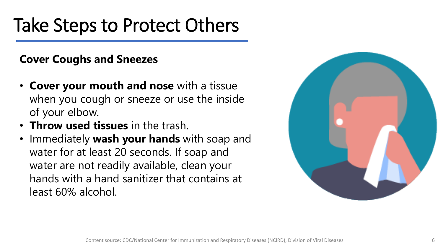### Take Steps to Protect Others

#### **Cover Coughs and Sneezes**

- **Cover your mouth and nose** with a tissue when you cough or sneeze or use the inside of your elbow.
- **Throw used tissues** in the trash.
- Immediately **wash your hands** with soap and water for at least 20 seconds. If soap and water are not readily available, clean your hands with a hand sanitizer that contains at least 60% alcohol.

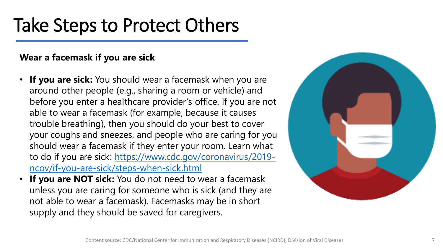### Take Steps to Protect Others

#### **Wear a facemask if you are sick**

- **If you are sick:** You should wear a facemask when you are around other people (e.g., sharing a room or vehicle) and before you enter a healthcare provider's office. If you are not able to wear a facemask (for example, because it causes trouble breathing), then you should do your best to cover your coughs and sneezes, and people who are caring for you should wear a facemask if they enter your room. Learn what [to do if you are sick: https://www.cdc.gov/coronavirus/2019](https://www.cdc.gov/coronavirus/2019-ncov/if-you-are-sick/steps-when-sick.html) ncov/if-you-are-sick/steps-when-sick.html
- **If you are NOT sick:** You do not need to wear a facemask unless you are caring for someone who is sick (and they are not able to wear a facemask). Facemasks may be in short supply and they should be saved for caregivers.

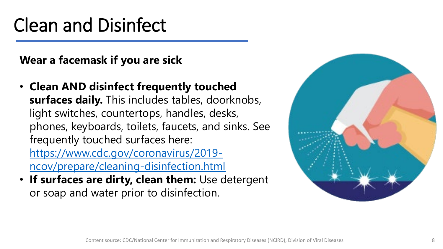### Clean and Disinfect

**Wear a facemask if you are sick**

- **Clean AND disinfect frequently touched surfaces daily.** This includes tables, doorknobs, light switches, countertops, handles, desks, phones, keyboards, toilets, faucets, and sinks. See frequently touched surfaces here: https://www.cdc.gov/coronavirus/2019 [ncov/prepare/cleaning-disinfection.html](https://www.cdc.gov/coronavirus/2019-ncov/prepare/cleaning-disinfection.html)
- **If surfaces are dirty, clean them:** Use detergent or soap and water prior to disinfection.

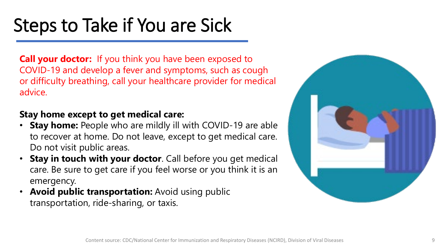**Call your doctor:** If you think you have been exposed to COVID-19 and develop a fever and symptoms, such as cough or difficulty breathing, call your healthcare provider for medical advice.

#### **Stay home except to get medical care:**

- **Stay home:** People who are mildly ill with COVID-19 are able to recover at home. Do not leave, except to get medical care. Do not visit public areas.
- **Stay in touch with your doctor**. Call before you get medical care. Be sure to get care if you feel worse or you think it is an emergency.
- **Avoid public transportation:** Avoid using public transportation, ride-sharing, or taxis.

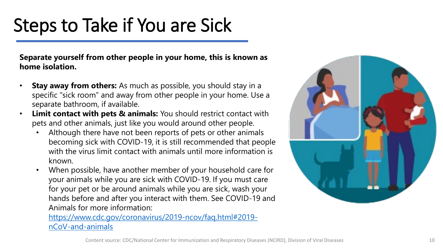**Separate yourself from other people in your home, this is known as home isolation.**

- **Stay away from others:** As much as possible, you should stay in a specific "sick room" and away from other people in your home. Use a separate bathroom, if available.
- **Limit contact with pets & animals:** You should restrict contact with pets and other animals, just like you would around other people.
	- Although there have not been reports of pets or other animals becoming sick with COVID-19, it is still recommended that people with the virus limit contact with animals until more information is known.
	- When possible, have another member of your household care for your animals while you are sick with COVID-19. If you must care for your pet or be around animals while you are sick, wash your hands before and after you interact with them. See COVID-19 and Animals for more information:

[https://www.cdc.gov/coronavirus/2019-ncov/faq.html#2019](https://www.cdc.gov/coronavirus/2019-ncov/faq.html#2019-nCoV-and-animals) nCoV-and-animals

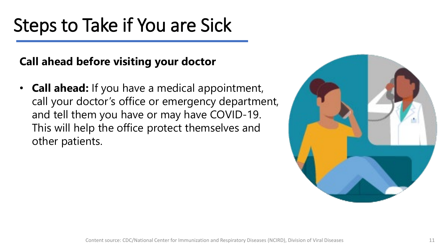#### **Call ahead before visiting your doctor**

• **Call ahead:** If you have a medical appointment, call your doctor's office or emergency department, and tell them you have or may have COVID-19. This will help the office protect themselves and other patients.

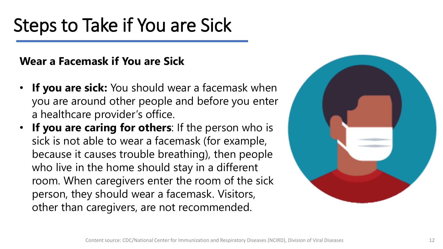#### **Wear a Facemask if You are Sick**

- **If you are sick:** You should wear a facemask when you are around other people and before you enter a healthcare provider's office.
- **If you are caring for others**: If the person who is sick is not able to wear a facemask (for example, because it causes trouble breathing), then people who live in the home should stay in a different room. When caregivers enter the room of the sick person, they should wear a facemask. Visitors, other than caregivers, are not recommended.

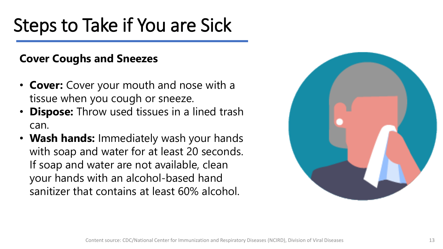#### **Cover Coughs and Sneezes**

- **Cover:** Cover your mouth and nose with a tissue when you cough or sneeze.
- **Dispose:** Throw used tissues in a lined trash can.
- **Wash hands:** Immediately wash your hands with soap and water for at least 20 seconds. If soap and water are not available, clean your hands with an alcohol-based hand sanitizer that contains at least 60% alcohol.

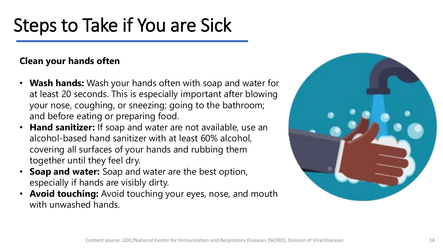#### **Clean your hands often**

- **Wash hands:** Wash your hands often with soap and water for at least 20 seconds. This is especially important after blowing your nose, coughing, or sneezing; going to the bathroom; and before eating or preparing food.
- **Hand sanitizer:** If soap and water are not available, use an alcohol-based hand sanitizer with at least 60% alcohol, covering all surfaces of your hands and rubbing them together until they feel dry.
- **Soap and water:** Soap and water are the best option, especially if hands are visibly dirty.
- **Avoid touching:** Avoid touching your eyes, nose, and mouth with unwashed hands.

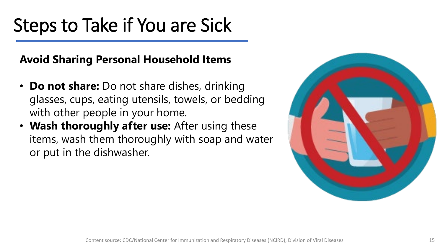#### **Avoid Sharing Personal Household Items**

- **Do not share:** Do not share dishes, drinking glasses, cups, eating utensils, towels, or bedding with other people in your home.
- **Wash thoroughly after use:** After using these items, wash them thoroughly with soap and water or put in the dishwasher.

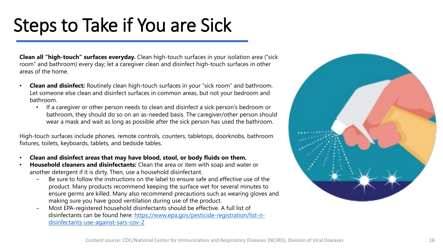**Clean all "high-touch" surfaces everyday.** Clean high-touch surfaces in your isolation area ("sick room" and bathroom) every day; let a caregiver clean and disinfect high-touch surfaces in other areas of the home.

- **Clean and disinfect:** Routinely clean high-touch surfaces in your "sick room" and bathroom. Let someone else clean and disinfect surfaces in common areas, but not your bedroom and bathroom.
	- If a caregiver or other person needs to clean and disinfect a sick person's bedroom or bathroom, they should do so on an as-needed basis. The caregiver/other person should wear a mask and wait as long as possible after the sick person has used the bathroom.

High-touch surfaces include phones, remote controls, counters, tabletops, doorknobs, bathroom fixtures, toilets, keyboards, tablets, and bedside tables.

- **Clean and disinfect areas that may have blood, stool, or body fluids on them.**
- **Household cleaners and disinfectants:** Clean the area or item with soap and water or another detergent if it is dirty. Then, use a household disinfectant.
	- Be sure to follow the instructions on the label to ensure safe and effective use of the product. Many products recommend keeping the surface wet for several minutes to ensure germs are killed. Many also recommend precautions such as wearing gloves and making sure you have good ventilation during use of the product.
	- ‒ Most EPA-registered household disinfectants should be effective. A full list of [disinfectants can be found here: https://www.epa.gov/pesticide-registration/list-n](https://www.epa.gov/pesticide-registration/list-n-disinfectants-use-against-sars-cov-2)disinfectants-use-against-sars-cov-2

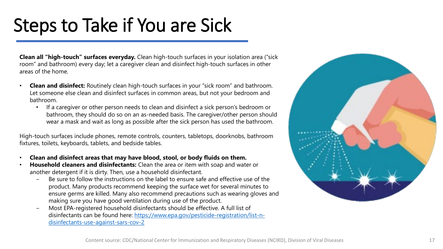**Clean all "high-touch" surfaces everyday.** Clean high-touch surfaces in your isolation area ("sick room" and bathroom) every day; let a caregiver clean and disinfect high-touch surfaces in other areas of the home.

- **Clean and disinfect:** Routinely clean high-touch surfaces in your "sick room" and bathroom. Let someone else clean and disinfect surfaces in common areas, but not your bedroom and bathroom.
	- If a caregiver or other person needs to clean and disinfect a sick person's bedroom or bathroom, they should do so on an as-needed basis. The caregiver/other person should wear a mask and wait as long as possible after the sick person has used the bathroom.

High-touch surfaces include phones, remote controls, counters, tabletops, doorknobs, bathroom fixtures, toilets, keyboards, tablets, and bedside tables.

- **Clean and disinfect areas that may have blood, stool, or body fluids on them.**
- **Household cleaners and disinfectants:** Clean the area or item with soap and water or another detergent if it is dirty. Then, use a household disinfectant.
	- Be sure to follow the instructions on the label to ensure safe and effective use of the product. Many products recommend keeping the surface wet for several minutes to ensure germs are killed. Many also recommend precautions such as wearing gloves and making sure you have good ventilation during use of the product.
	- ‒ Most EPA-registered household disinfectants should be effective. A full list of [disinfectants can be found here: https://www.epa.gov/pesticide-registration/list-n](https://www.epa.gov/pesticide-registration/list-n-disinfectants-use-against-sars-cov-2)disinfectants-use-against-sars-cov-2

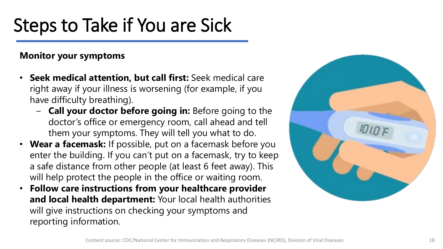#### **Monitor your symptoms**

- **Seek medical attention, but call first:** Seek medical care right away if your illness is worsening (for example, if you have difficulty breathing).
	- ‒ **Call your doctor before going in:** Before going to the doctor's office or emergency room, call ahead and tell them your symptoms. They will tell you what to do.
- **Wear a facemask:** If possible, put on a facemask before you enter the building. If you can't put on a facemask, try to keep a safe distance from other people (at least 6 feet away). This will help protect the people in the office or waiting room.
- **Follow care instructions from your healthcare provider and local health department:** Your local health authorities will give instructions on checking your symptoms and reporting information.